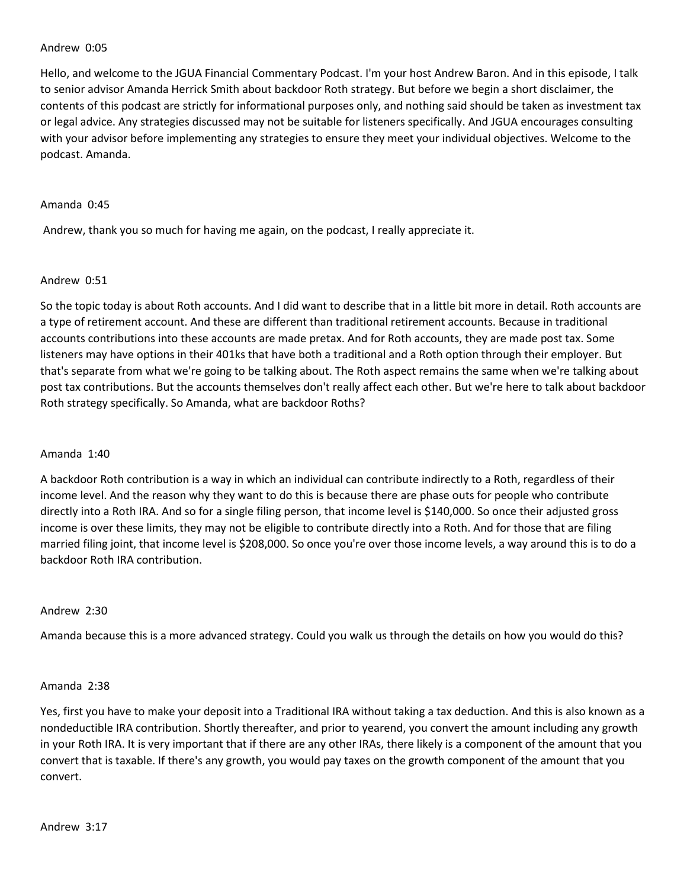#### Andrew 0:05

Hello, and welcome to the JGUA Financial Commentary Podcast. I'm your host Andrew Baron. And in this episode, I talk to senior advisor Amanda Herrick Smith about backdoor Roth strategy. But before we begin a short disclaimer, the contents of this podcast are strictly for informational purposes only, and nothing said should be taken as investment tax or legal advice. Any strategies discussed may not be suitable for listeners specifically. And JGUA encourages consulting with your advisor before implementing any strategies to ensure they meet your individual objectives. Welcome to the podcast. Amanda.

#### Amanda 0:45

Andrew, thank you so much for having me again, on the podcast, I really appreciate it.

### Andrew 0:51

So the topic today is about Roth accounts. And I did want to describe that in a little bit more in detail. Roth accounts are a type of retirement account. And these are different than traditional retirement accounts. Because in traditional accounts contributions into these accounts are made pretax. And for Roth accounts, they are made post tax. Some listeners may have options in their 401ks that have both a traditional and a Roth option through their employer. But that's separate from what we're going to be talking about. The Roth aspect remains the same when we're talking about post tax contributions. But the accounts themselves don't really affect each other. But we're here to talk about backdoor Roth strategy specifically. So Amanda, what are backdoor Roths?

#### Amanda 1:40

A backdoor Roth contribution is a way in which an individual can contribute indirectly to a Roth, regardless of their income level. And the reason why they want to do this is because there are phase outs for people who contribute directly into a Roth IRA. And so for a single filing person, that income level is \$140,000. So once their adjusted gross income is over these limits, they may not be eligible to contribute directly into a Roth. And for those that are filing married filing joint, that income level is \$208,000. So once you're over those income levels, a way around this is to do a backdoor Roth IRA contribution.

#### Andrew 2:30

Amanda because this is a more advanced strategy. Could you walk us through the details on how you would do this?

#### Amanda 2:38

Yes, first you have to make your deposit into a Traditional IRA without taking a tax deduction. And this is also known as a nondeductible IRA contribution. Shortly thereafter, and prior to yearend, you convert the amount including any growth in your Roth IRA. It is very important that if there are any other IRAs, there likely is a component of the amount that you convert that is taxable. If there's any growth, you would pay taxes on the growth component of the amount that you convert.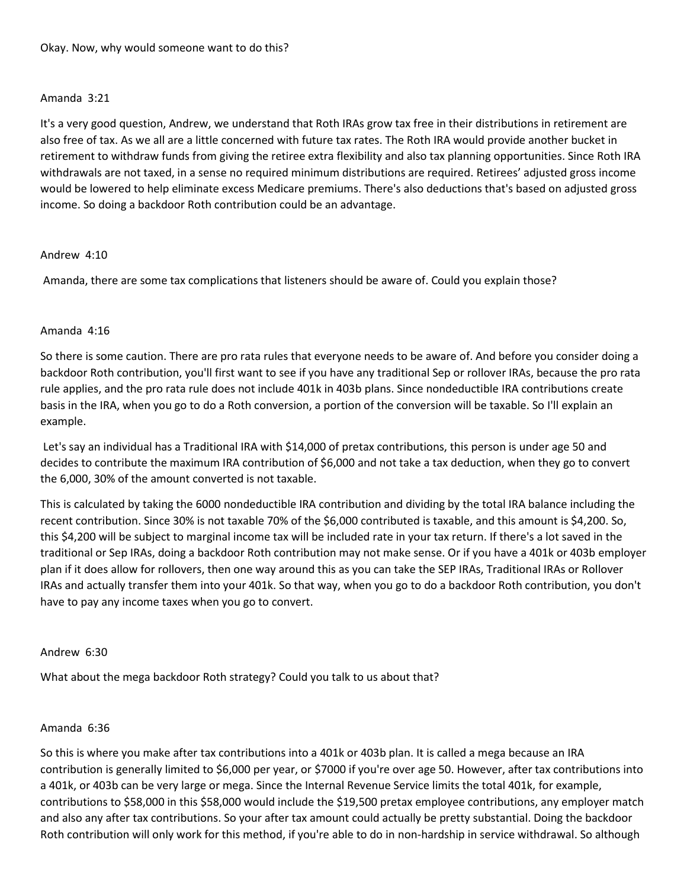## Amanda 3:21

It's a very good question, Andrew, we understand that Roth IRAs grow tax free in their distributions in retirement are also free of tax. As we all are a little concerned with future tax rates. The Roth IRA would provide another bucket in retirement to withdraw funds from giving the retiree extra flexibility and also tax planning opportunities. Since Roth IRA withdrawals are not taxed, in a sense no required minimum distributions are required. Retirees' adjusted gross income would be lowered to help eliminate excess Medicare premiums. There's also deductions that's based on adjusted gross income. So doing a backdoor Roth contribution could be an advantage.

### Andrew 4:10

Amanda, there are some tax complications that listeners should be aware of. Could you explain those?

### Amanda 4:16

So there is some caution. There are pro rata rules that everyone needs to be aware of. And before you consider doing a backdoor Roth contribution, you'll first want to see if you have any traditional Sep or rollover IRAs, because the pro rata rule applies, and the pro rata rule does not include 401k in 403b plans. Since nondeductible IRA contributions create basis in the IRA, when you go to do a Roth conversion, a portion of the conversion will be taxable. So I'll explain an example.

Let's say an individual has a Traditional IRA with \$14,000 of pretax contributions, this person is under age 50 and decides to contribute the maximum IRA contribution of \$6,000 and not take a tax deduction, when they go to convert the 6,000, 30% of the amount converted is not taxable.

This is calculated by taking the 6000 nondeductible IRA contribution and dividing by the total IRA balance including the recent contribution. Since 30% is not taxable 70% of the \$6,000 contributed is taxable, and this amount is \$4,200. So, this \$4,200 will be subject to marginal income tax will be included rate in your tax return. If there's a lot saved in the traditional or Sep IRAs, doing a backdoor Roth contribution may not make sense. Or if you have a 401k or 403b employer plan if it does allow for rollovers, then one way around this as you can take the SEP IRAs, Traditional IRAs or Rollover IRAs and actually transfer them into your 401k. So that way, when you go to do a backdoor Roth contribution, you don't have to pay any income taxes when you go to convert.

#### Andrew 6:30

What about the mega backdoor Roth strategy? Could you talk to us about that?

### Amanda 6:36

So this is where you make after tax contributions into a 401k or 403b plan. It is called a mega because an IRA contribution is generally limited to \$6,000 per year, or \$7000 if you're over age 50. However, after tax contributions into a 401k, or 403b can be very large or mega. Since the Internal Revenue Service limits the total 401k, for example, contributions to \$58,000 in this \$58,000 would include the \$19,500 pretax employee contributions, any employer match and also any after tax contributions. So your after tax amount could actually be pretty substantial. Doing the backdoor Roth contribution will only work for this method, if you're able to do in non-hardship in service withdrawal. So although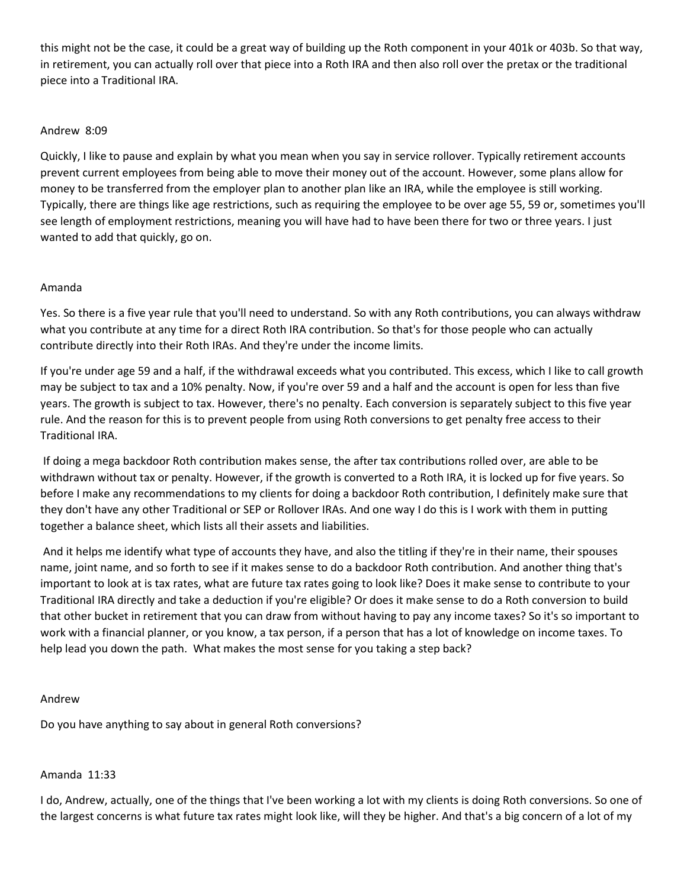this might not be the case, it could be a great way of building up the Roth component in your 401k or 403b. So that way, in retirement, you can actually roll over that piece into a Roth IRA and then also roll over the pretax or the traditional piece into a Traditional IRA.

# Andrew 8:09

Quickly, I like to pause and explain by what you mean when you say in service rollover. Typically retirement accounts prevent current employees from being able to move their money out of the account. However, some plans allow for money to be transferred from the employer plan to another plan like an IRA, while the employee is still working. Typically, there are things like age restrictions, such as requiring the employee to be over age 55, 59 or, sometimes you'll see length of employment restrictions, meaning you will have had to have been there for two or three years. I just wanted to add that quickly, go on.

# Amanda

Yes. So there is a five year rule that you'll need to understand. So with any Roth contributions, you can always withdraw what you contribute at any time for a direct Roth IRA contribution. So that's for those people who can actually contribute directly into their Roth IRAs. And they're under the income limits.

If you're under age 59 and a half, if the withdrawal exceeds what you contributed. This excess, which I like to call growth may be subject to tax and a 10% penalty. Now, if you're over 59 and a half and the account is open for less than five years. The growth is subject to tax. However, there's no penalty. Each conversion is separately subject to this five year rule. And the reason for this is to prevent people from using Roth conversions to get penalty free access to their Traditional IRA.

If doing a mega backdoor Roth contribution makes sense, the after tax contributions rolled over, are able to be withdrawn without tax or penalty. However, if the growth is converted to a Roth IRA, it is locked up for five years. So before I make any recommendations to my clients for doing a backdoor Roth contribution, I definitely make sure that they don't have any other Traditional or SEP or Rollover IRAs. And one way I do this is I work with them in putting together a balance sheet, which lists all their assets and liabilities.

And it helps me identify what type of accounts they have, and also the titling if they're in their name, their spouses name, joint name, and so forth to see if it makes sense to do a backdoor Roth contribution. And another thing that's important to look at is tax rates, what are future tax rates going to look like? Does it make sense to contribute to your Traditional IRA directly and take a deduction if you're eligible? Or does it make sense to do a Roth conversion to build that other bucket in retirement that you can draw from without having to pay any income taxes? So it's so important to work with a financial planner, or you know, a tax person, if a person that has a lot of knowledge on income taxes. To help lead you down the path. What makes the most sense for you taking a step back?

### Andrew

Do you have anything to say about in general Roth conversions?

### Amanda 11:33

I do, Andrew, actually, one of the things that I've been working a lot with my clients is doing Roth conversions. So one of the largest concerns is what future tax rates might look like, will they be higher. And that's a big concern of a lot of my